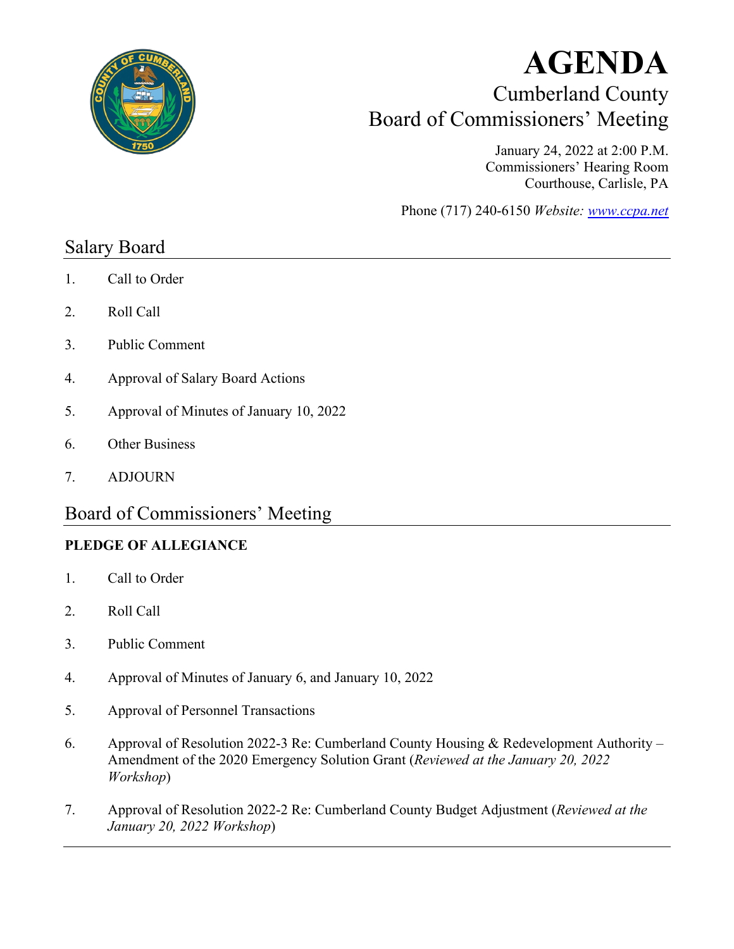

## **AGENDA** Cumberland County Board of Commissioners' Meeting

January 24, 2022 at 2:00 P.M. Commissioners' Hearing Room Courthouse, Carlisle, PA

Phone (717) 240-6150 *Website: [www.ccpa.net](http://www.ccpa.net/)*

## Salary Board

- 1. Call to Order
- 2. Roll Call
- 3. Public Comment
- 4. Approval of Salary Board Actions
- 5. Approval of Minutes of January 10, 2022
- 6. Other Business
- 7. ADJOURN

## Board of Commissioners' Meeting

## **PLEDGE OF ALLEGIANCE**

- 1. Call to Order
- 2. Roll Call
- 3. Public Comment
- 4. Approval of Minutes of January 6, and January 10, 2022
- 5. Approval of Personnel Transactions
- 6. Approval of Resolution 2022-3 Re: Cumberland County Housing & Redevelopment Authority Amendment of the 2020 Emergency Solution Grant (*Reviewed at the January 20, 2022 Workshop*)
- 7. Approval of Resolution 2022-2 Re: Cumberland County Budget Adjustment (*Reviewed at the January 20, 2022 Workshop*)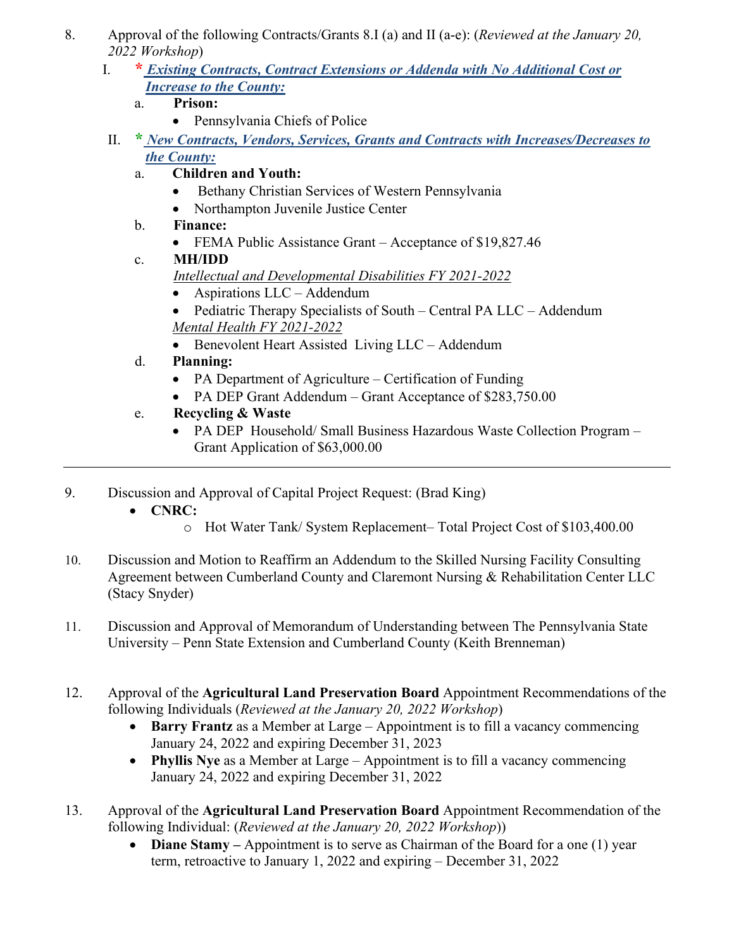- 8. Approval of the following Contracts/Grants 8.I (a) and II (a-e): (*Reviewed at the January 20, 2022 Workshop*)
	- I. **\*** *Existing Contracts, Contract Extensions or Addenda with No Additional Cost or Increase to the County:*
		- a. **Prison:**
			- Pennsylvania Chiefs of Police
	- II. **\*** *New Contracts, Vendors, Services, Grants and Contracts with Increases/Decreases to the County:*
		- a. **Children and Youth:** 
			- Bethany Christian Services of Western Pennsylvania
			- Northampton Juvenile Justice Center
		- b. **Finance:** 
			- FEMA Public Assistance Grant Acceptance of \$19,827.46
		- c. **MH/IDD**
			- *Intellectual and Developmental Disabilities FY 2021-2022*
			- Aspirations LLC Addendum
			- Pediatric Therapy Specialists of South Central PA LLC Addendum *Mental Health FY 2021-2022*
			- Benevolent Heart Assisted Living LLC Addendum
		- d. **Planning:** 
			- PA Department of Agriculture Certification of Funding
			- PA DEP Grant Addendum Grant Acceptance of \$283,750.00
		- e. **Recycling & Waste**
			- PA DEP Household/ Small Business Hazardous Waste Collection Program Grant Application of \$63,000.00
- 9. Discussion and Approval of Capital Project Request: (Brad King)
	- **CNRC:**
		- o Hot Water Tank/ System Replacement– Total Project Cost of \$103,400.00
- 10. Discussion and Motion to Reaffirm an Addendum to the Skilled Nursing Facility Consulting Agreement between Cumberland County and Claremont Nursing & Rehabilitation Center LLC (Stacy Snyder)
- 11. Discussion and Approval of Memorandum of Understanding between The Pennsylvania State University – Penn State Extension and Cumberland County (Keith Brenneman)
- 12. Approval of the **Agricultural Land Preservation Board** Appointment Recommendations of the following Individuals (*Reviewed at the January 20, 2022 Workshop*)
	- **Barry Frantz** as a Member at Large Appointment is to fill a vacancy commencing January 24, 2022 and expiring December 31, 2023
	- **Phyllis Nye** as a Member at Large Appointment is to fill a vacancy commencing January 24, 2022 and expiring December 31, 2022
- 13. Approval of the **Agricultural Land Preservation Board** Appointment Recommendation of the following Individual: (*Reviewed at the January 20, 2022 Workshop*))
	- **Diane Stamy** Appointment is to serve as Chairman of the Board for a one (1) year term, retroactive to January 1, 2022 and expiring – December 31, 2022